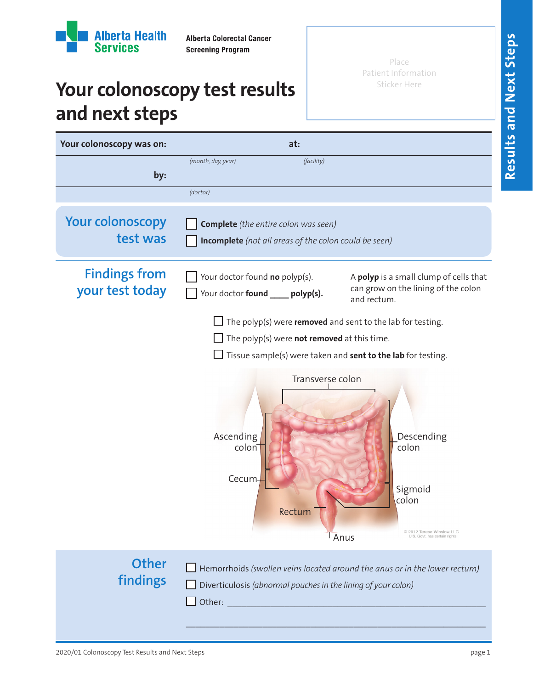

**Alberta Colorectal Cancer Screening Program** 

Place Patient Information Sticker Here

## **Your colonoscopy test results and next steps**

| Your colonoscopy was on:                | at:                                                                                                                                                                                                                                                                                                                                                      |
|-----------------------------------------|----------------------------------------------------------------------------------------------------------------------------------------------------------------------------------------------------------------------------------------------------------------------------------------------------------------------------------------------------------|
| by:                                     | (month, day, year)<br>(facility)<br>(doctor)                                                                                                                                                                                                                                                                                                             |
| <b>Your colonoscopy</b><br>test was     | <b>Complete</b> (the entire colon was seen)<br><b>Incomplete</b> (not all areas of the colon could be seen)                                                                                                                                                                                                                                              |
| <b>Findings from</b><br>your test today | Your doctor found no polyp(s).<br>A polyp is a small clump of cells that<br>can grow on the lining of the colon<br>Your doctor found _____ polyp(s).<br>and rectum.                                                                                                                                                                                      |
|                                         | The polyp(s) were removed and sent to the lab for testing.<br>The polyp(s) were not removed at this time.<br>Tissue sample(s) were taken and sent to the lab for testing.<br>Transverse colon<br>Ascending<br>Descending<br>colon<br>colon<br>Cecum-<br>Sigmoid<br>colon<br>Rectum<br>C 2012 Terese Winslow LLC<br>Anus<br>U.S. Govt. has certain rights |
| <b>Other</b><br>findings                | Hemorrhoids (swollen veins located around the anus or in the lower rectum)<br>Diverticulosis (abnormal pouches in the lining of your colon)                                                                                                                                                                                                              |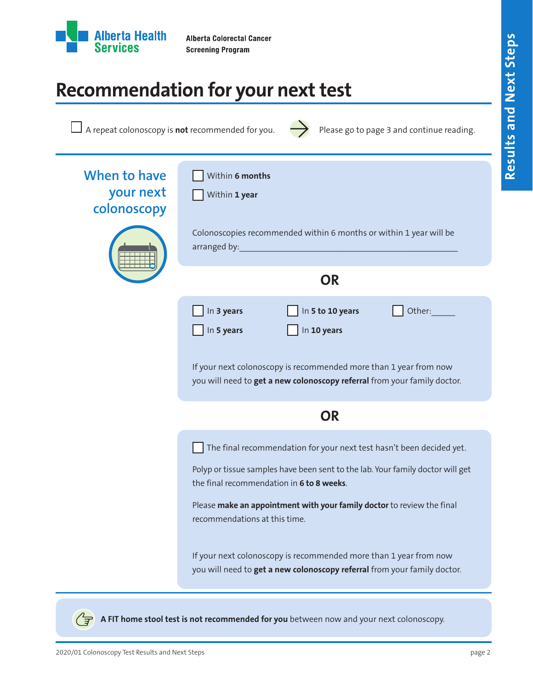

## **Recommendation for your next test**

| $\Box$ A repeat colonoscopy is <b>not</b> recommended for you. $\rightarrow$ Please go to page 3 and continue reading. |  |
|------------------------------------------------------------------------------------------------------------------------|--|
|                                                                                                                        |  |

| When to have<br>your next<br>colonoscopy | Within 6 months<br>Within 1 year                                                                                                                                                                                                                                                                                                                                                                                                                                |
|------------------------------------------|-----------------------------------------------------------------------------------------------------------------------------------------------------------------------------------------------------------------------------------------------------------------------------------------------------------------------------------------------------------------------------------------------------------------------------------------------------------------|
|                                          | Colonoscopies recommended within 6 months or within 1 year will be<br>arranged by:                                                                                                                                                                                                                                                                                                                                                                              |
|                                          | <b>OR</b>                                                                                                                                                                                                                                                                                                                                                                                                                                                       |
|                                          | In 5 to 10 years<br>In 3 years<br>Other:<br>In 10 years<br>In 5 years                                                                                                                                                                                                                                                                                                                                                                                           |
|                                          | If your next colonoscopy is recommended more than 1 year from now<br>you will need to get a new colonoscopy referral from your family doctor.                                                                                                                                                                                                                                                                                                                   |
|                                          | <b>OR</b>                                                                                                                                                                                                                                                                                                                                                                                                                                                       |
|                                          | The final recommendation for your next test hasn't been decided yet.<br>Polyp or tissue samples have been sent to the lab. Your family doctor will get<br>the final recommendation in 6 to 8 weeks.<br>Please make an appointment with your family doctor to review the final<br>recommendations at this time.<br>If your next colonoscopy is recommended more than 1 year from now<br>you will need to get a new colonoscopy referral from your family doctor. |

**A FIT home stool test is not recommended for you** between now and your next colonoscopy.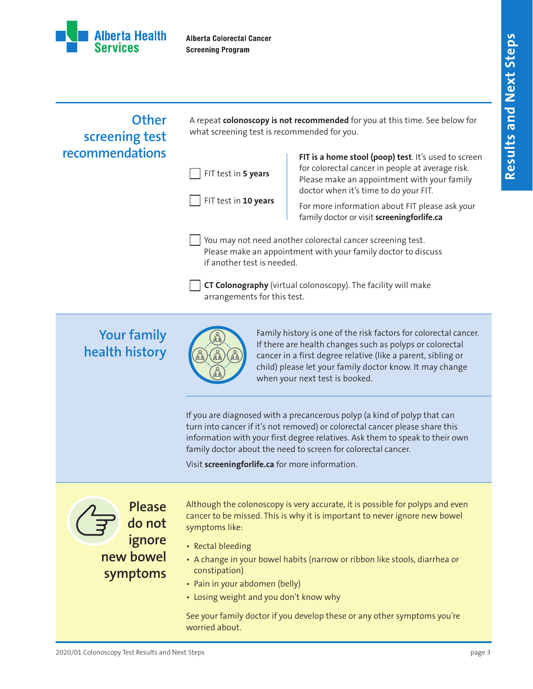

**Alberta Colorectal Cancer Screening Program** 

## **Other screening test recommendations**

A repeat **colonoscopy is not recommended** for you at this time. See below for what screening test is recommended for you.

| FIT test in 5 years |  |
|---------------------|--|
|---------------------|--|

FIT test in **10 years**

FIT is a home stool (poop) test. It's used to screen for colorectal cancer in people at average risk. Please make an appointment with your family doctor when it's time to do your FIT.

For more information about FIT please ask your family doctor or visit **screeningforlife.ca**

You may not need another colorectal cancer screening test. Please make an appointment with your family doctor to discuss if another test is needed.

**CT Colonography** (virtual colonoscopy). The facility will make arrangements for this test.

## **Your family health history**



Family history is one of the risk factors for colorectal cancer. If there are health changes such as polyps or colorectal cancer in a first degree relative (like a parent, sibling or child) please let your family doctor know. It may change when your next test is booked.

If you are diagnosed with a precancerous polyp (a kind of polyp that can turn into cancer if it's not removed) or colorectal cancer please share this information with your first degree relatives. Ask them to speak to their own family doctor about the need to screen for colorectal cancer.

Visit **screeningforlife.ca** for more information.

**Please do not ignore new bowel symptoms** Although the colonoscopy is very accurate, it is possible for polyps and even cancer to be missed. This is why it is important to never ignore new bowel symptoms like:

- Rectal bleeding
- A change in your bowel habits (narrow or ribbon like stools, diarrhea or constipation)
- Pain in your abdomen (belly)
- Losing weight and you don't know why

See your family doctor if you develop these or any other symptoms you're worried about.